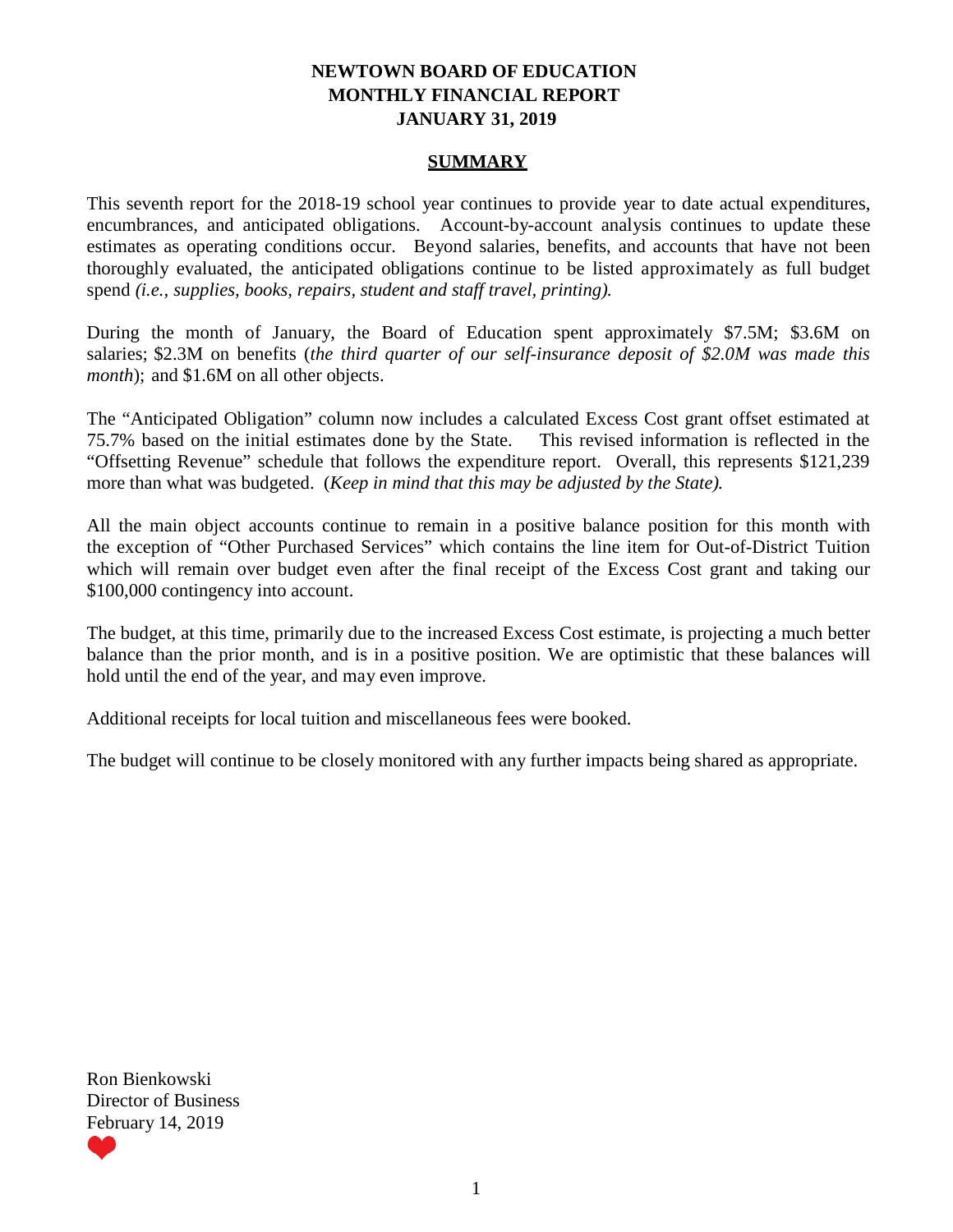### **NEWTOWN BOARD OF EDUCATION MONTHLY FINANCIAL REPORT JANUARY 31, 2019**

### **SUMMARY**

This seventh report for the 2018-19 school year continues to provide year to date actual expenditures, encumbrances, and anticipated obligations. Account-by-account analysis continues to update these estimates as operating conditions occur. Beyond salaries, benefits, and accounts that have not been thoroughly evaluated, the anticipated obligations continue to be listed approximately as full budget spend *(i.e., supplies, books, repairs, student and staff travel, printing).*

During the month of January, the Board of Education spent approximately \$7.5M; \$3.6M on salaries; \$2.3M on benefits (*the third quarter of our self-insurance deposit of \$2.0M was made this month*); and \$1.6M on all other objects.

The "Anticipated Obligation" column now includes a calculated Excess Cost grant offset estimated at 75.7% based on the initial estimates done by the State. This revised information is reflected in the "Offsetting Revenue" schedule that follows the expenditure report. Overall, this represents \$121,239 more than what was budgeted. (*Keep in mind that this may be adjusted by the State).*

All the main object accounts continue to remain in a positive balance position for this month with the exception of "Other Purchased Services" which contains the line item for Out-of-District Tuition which will remain over budget even after the final receipt of the Excess Cost grant and taking our \$100,000 contingency into account.

The budget, at this time, primarily due to the increased Excess Cost estimate, is projecting a much better balance than the prior month, and is in a positive position. We are optimistic that these balances will hold until the end of the year, and may even improve.

Additional receipts for local tuition and miscellaneous fees were booked.

The budget will continue to be closely monitored with any further impacts being shared as appropriate.

Ron Bienkowski Director of Business February 14, 2019

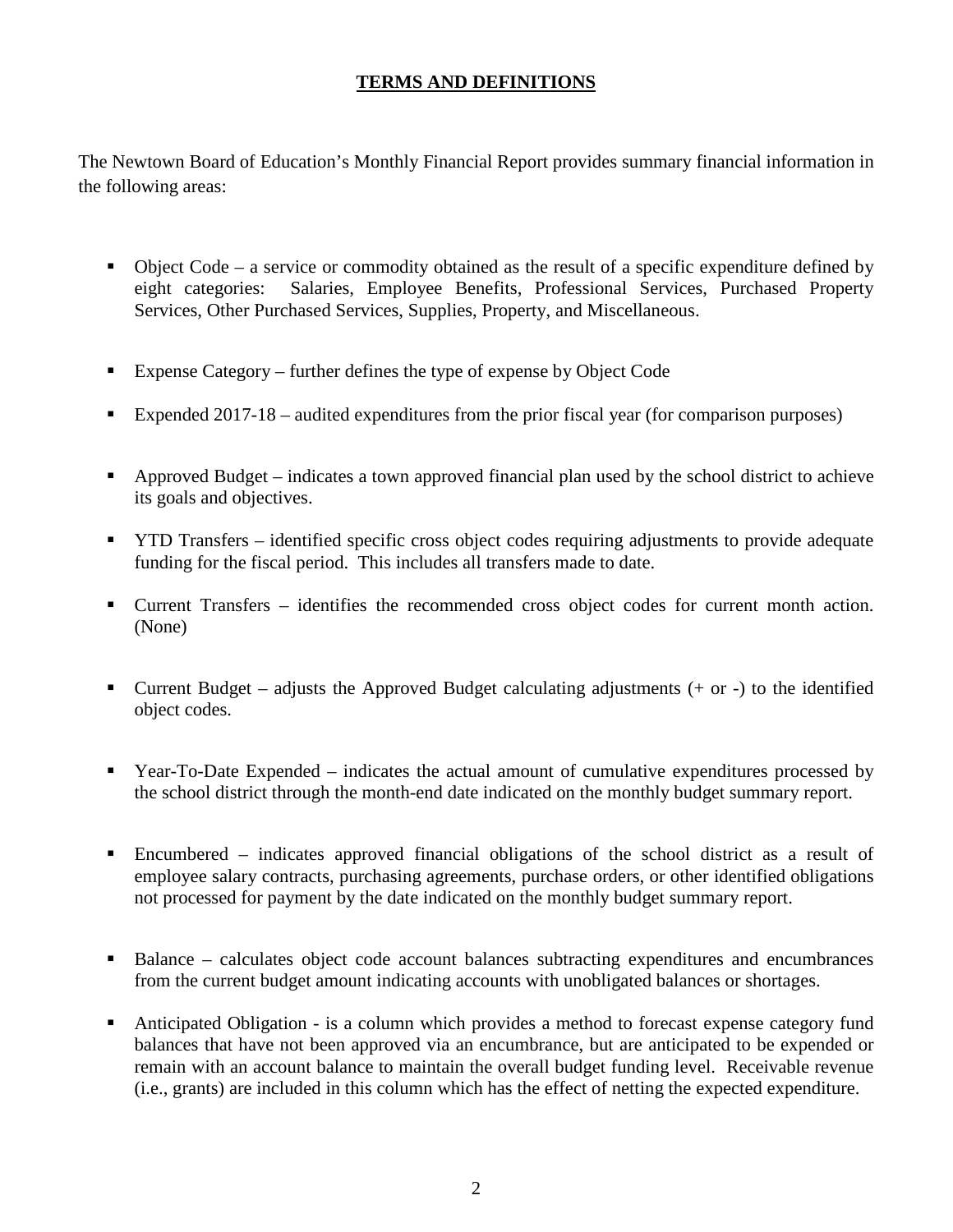## **TERMS AND DEFINITIONS**

The Newtown Board of Education's Monthly Financial Report provides summary financial information in the following areas:

- $\blacksquare$  Object Code a service or commodity obtained as the result of a specific expenditure defined by eight categories: Salaries, Employee Benefits, Professional Services, Purchased Property Services, Other Purchased Services, Supplies, Property, and Miscellaneous.
- Expense Category further defines the type of expense by Object Code
- Expended 2017-18 audited expenditures from the prior fiscal year (for comparison purposes)
- Approved Budget indicates a town approved financial plan used by the school district to achieve its goals and objectives.
- **TYTD Transfers** identified specific cross object codes requiring adjustments to provide adequate funding for the fiscal period. This includes all transfers made to date.
- Current Transfers identifies the recommended cross object codes for current month action. (None)
- Current Budget adjusts the Approved Budget calculating adjustments  $(+)$  or  $-)$  to the identified object codes.
- Year-To-Date Expended indicates the actual amount of cumulative expenditures processed by the school district through the month-end date indicated on the monthly budget summary report.
- Encumbered indicates approved financial obligations of the school district as a result of employee salary contracts, purchasing agreements, purchase orders, or other identified obligations not processed for payment by the date indicated on the monthly budget summary report.
- Balance calculates object code account balances subtracting expenditures and encumbrances from the current budget amount indicating accounts with unobligated balances or shortages.
- Anticipated Obligation is a column which provides a method to forecast expense category fund balances that have not been approved via an encumbrance, but are anticipated to be expended or remain with an account balance to maintain the overall budget funding level. Receivable revenue (i.e., grants) are included in this column which has the effect of netting the expected expenditure.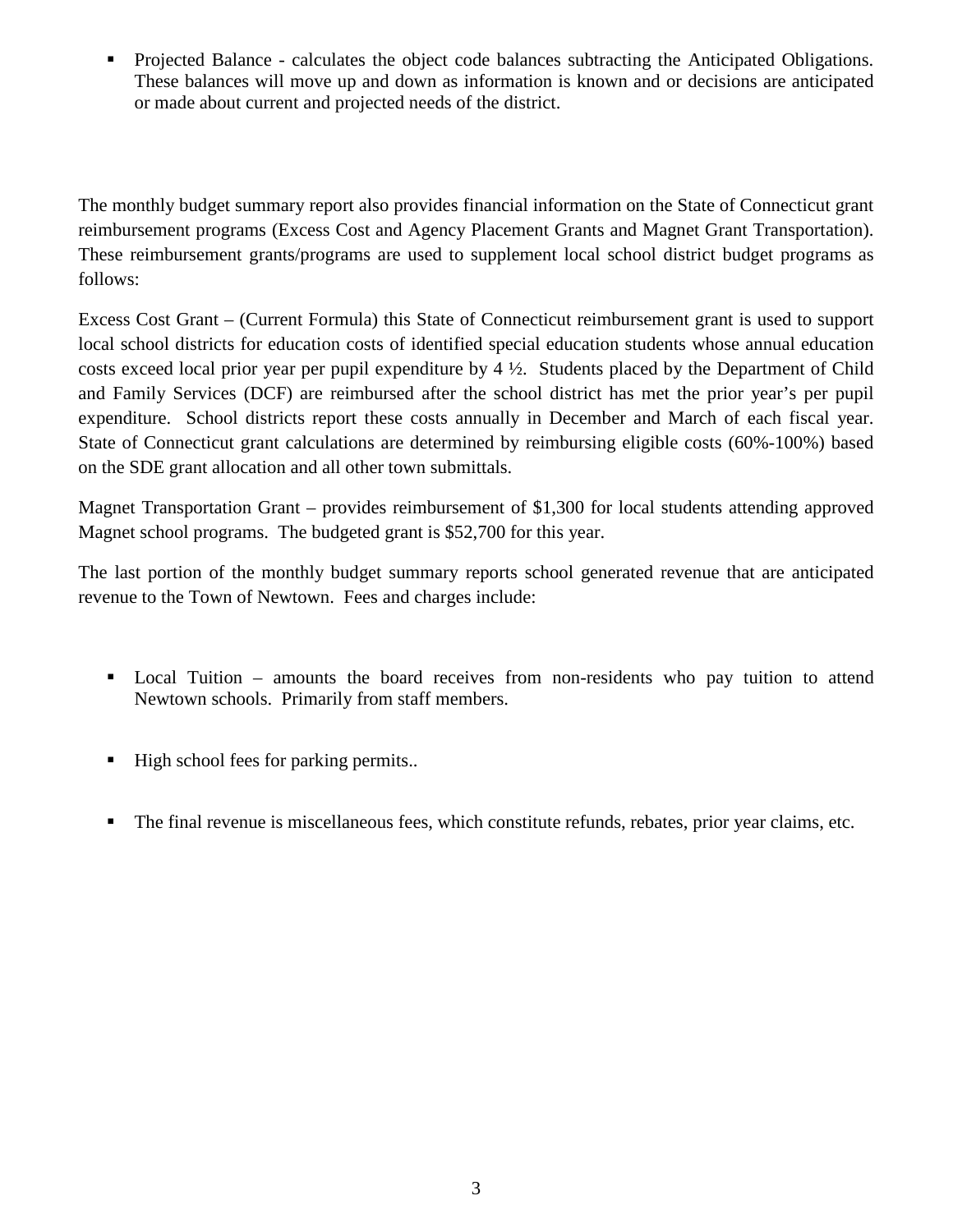**•** Projected Balance - calculates the object code balances subtracting the Anticipated Obligations. These balances will move up and down as information is known and or decisions are anticipated or made about current and projected needs of the district.

The monthly budget summary report also provides financial information on the State of Connecticut grant reimbursement programs (Excess Cost and Agency Placement Grants and Magnet Grant Transportation). These reimbursement grants/programs are used to supplement local school district budget programs as follows:

Excess Cost Grant – (Current Formula) this State of Connecticut reimbursement grant is used to support local school districts for education costs of identified special education students whose annual education costs exceed local prior year per pupil expenditure by 4 ½. Students placed by the Department of Child and Family Services (DCF) are reimbursed after the school district has met the prior year's per pupil expenditure. School districts report these costs annually in December and March of each fiscal year. State of Connecticut grant calculations are determined by reimbursing eligible costs (60%-100%) based on the SDE grant allocation and all other town submittals.

Magnet Transportation Grant – provides reimbursement of \$1,300 for local students attending approved Magnet school programs. The budgeted grant is \$52,700 for this year.

The last portion of the monthly budget summary reports school generated revenue that are anticipated revenue to the Town of Newtown. Fees and charges include:

- Local Tuition amounts the board receives from non-residents who pay tuition to attend Newtown schools. Primarily from staff members.
- High school fees for parking permits..
- The final revenue is miscellaneous fees, which constitute refunds, rebates, prior year claims, etc.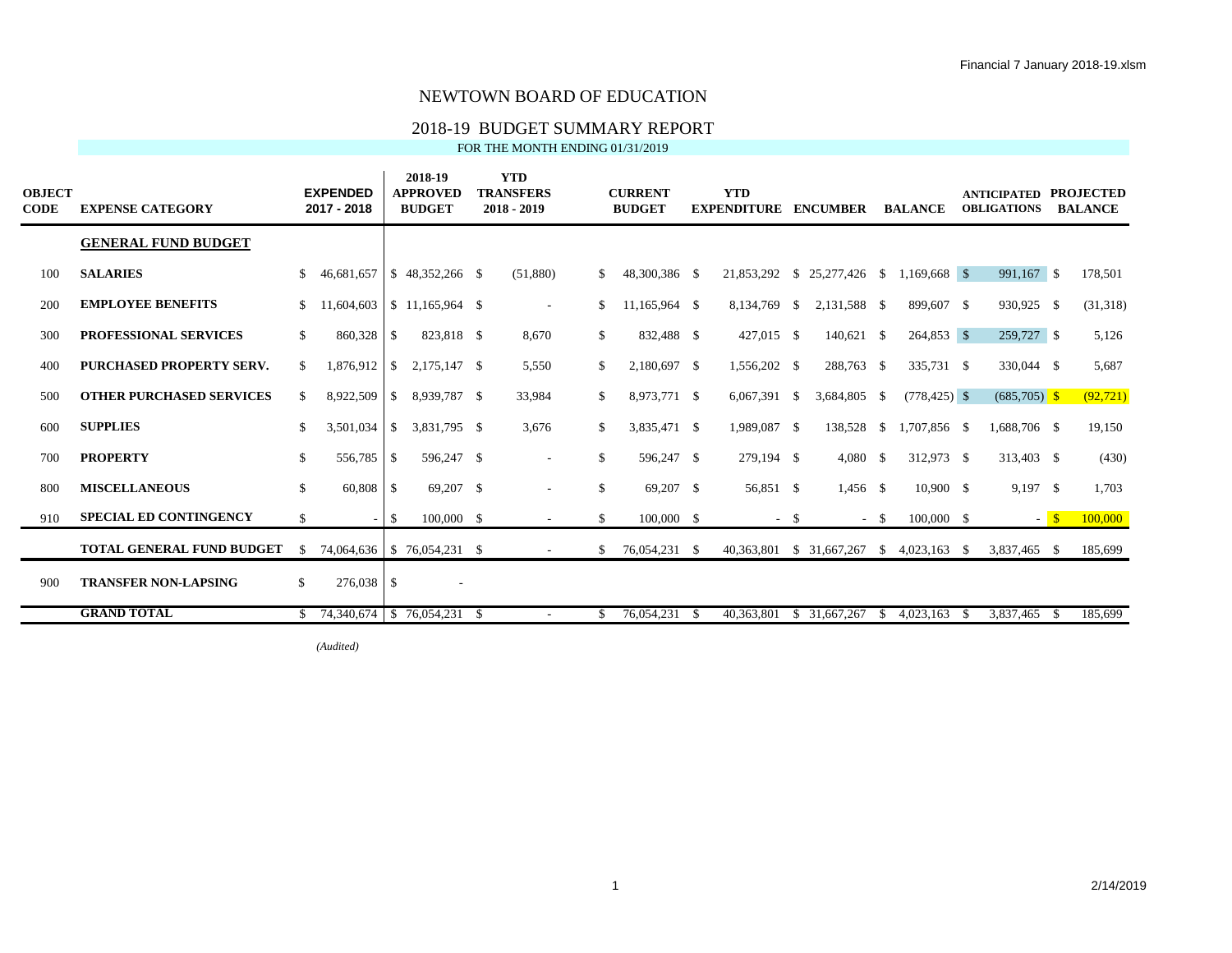# 2018-19 BUDGET SUMMARY REPORT

FOR THE MONTH ENDING 01/31/2019

| <b>OBJECT</b><br><b>CODE</b> | <b>EXPENSE CATEGORY</b>          |               | <b>EXPENDED</b><br>2017 - 2018 |          | 2018-19<br><b>APPROVED</b><br><b>BUDGET</b> |     | <b>YTD</b><br><b>TRANSFERS</b><br>$2018 - 2019$ |              | <b>CURRENT</b><br><b>BUDGET</b> | <b>YTD</b><br><b>EXPENDITURE</b> |        | <b>ENCUMBER</b>                          |              | <b>BALANCE</b>     |      | <b>ANTICIPATED</b><br><b>OBLIGATIONS</b> |      | <b>PROJECTED</b><br><b>BALANCE</b> |
|------------------------------|----------------------------------|---------------|--------------------------------|----------|---------------------------------------------|-----|-------------------------------------------------|--------------|---------------------------------|----------------------------------|--------|------------------------------------------|--------------|--------------------|------|------------------------------------------|------|------------------------------------|
|                              | <b>GENERAL FUND BUDGET</b>       |               |                                |          |                                             |     |                                                 |              |                                 |                                  |        |                                          |              |                    |      |                                          |      |                                    |
| 100                          | <b>SALARIES</b>                  | \$            | 46,681,657                     |          | $\frac{1}{2}$ \$ 48,352,266 \$              |     | (51,880)                                        | S.           | 48,300,386 \$                   |                                  |        | 21,853,292 \$ 25,277,426 \$ 1,169,668 \$ |              |                    |      | 991,167 \$                               |      | 178,501                            |
| 200                          | <b>EMPLOYEE BENEFITS</b>         | \$            | 11.604.603                     |          | $\frac{1}{2}$ \$ 11.165.964 \$              |     | $\sim$                                          | \$.          | 11.165.964 \$                   | 8,134,769 \$                     |        | 2.131.588 \$                             |              | 899,607 \$         |      | 930,925 \$                               |      | (31,318)                           |
| 300                          | <b>PROFESSIONAL SERVICES</b>     | \$            | 860,328                        | <b>S</b> | 823,818 \$                                  |     | 8,670                                           | \$           | 832,488 \$                      | 427,015 \$                       |        | 140,621 \$                               |              | 264,853 \$         |      | 259,727 \$                               |      | 5,126                              |
| 400                          | <b>PURCHASED PROPERTY SERV.</b>  | \$            | 1,876,912                      | <b>S</b> | 2,175,147 \$                                |     | 5,550                                           | \$           | 2,180,697 \$                    | 1,556,202 \$                     |        | 288,763 \$                               |              | 335,731 \$         |      | 330,044 \$                               |      | 5,687                              |
| 500                          | <b>OTHER PURCHASED SERVICES</b>  | \$            | 8,922,509                      | -S       | 8,939,787 \$                                |     | 33,984                                          | \$           | 8,973,771 \$                    | 6,067,391 \$                     |        | 3,684,805 \$                             |              | $(778, 425)$ \$    |      | $(685,705)$ \$                           |      | (92, 721)                          |
| 600                          | <b>SUPPLIES</b>                  | <sup>\$</sup> | 3,501,034                      | -S       | 3,831,795 \$                                |     | 3,676                                           | \$.          | 3,835,471 \$                    | 1,989,087 \$                     |        | 138,528                                  | \$           | 1,707,856 \$       |      | 1,688,706 \$                             |      | 19,150                             |
| 700                          | <b>PROPERTY</b>                  | \$            | 556,785                        | l \$     | 596,247 \$                                  |     | $\overline{\phantom{a}}$                        | \$           | 596,247 \$                      | 279,194 \$                       |        | $4,080$ \$                               |              | 312,973 \$         |      | 313,403 \$                               |      | (430)                              |
| 800                          | <b>MISCELLANEOUS</b>             | \$            | 60,808                         | l \$     | 69,207 \$                                   |     |                                                 | $\mathbb{S}$ | 69,207 \$                       | 56,851 \$                        |        | $1,456$ \$                               |              | $10,900$ \$        |      | $9,197$ \$                               |      | 1,703                              |
| 910                          | <b>SPECIAL ED CONTINGENCY</b>    | \$            |                                | - \$     | 100,000 \$                                  |     |                                                 | \$           | $100,000 \quad$ \$              |                                  | $-$ \$ |                                          | $-$ \$       | 100,000 \$         |      |                                          | $-5$ | 100,000                            |
|                              | <b>TOTAL GENERAL FUND BUDGET</b> | <sup>\$</sup> | 74,064,636   \$76,054,231 \$   |          |                                             |     | $\sim$                                          | <sup>S</sup> | 76,054,231 \$                   | 40,363,801 \$ 31,667,267         |        |                                          |              | $$4,023,163$ \, \$ |      | 3,837,465 \$                             |      | 185,699                            |
| 900                          | <b>TRANSFER NON-LAPSING</b>      | \$            |                                |          | $\sim$                                      |     |                                                 |              |                                 |                                  |        |                                          |              |                    |      |                                          |      |                                    |
|                              | <b>GRAND TOTAL</b>               |               | \$ 74,340,674                  |          | \$76,054,231                                | - S |                                                 | S.           | 76,054,231 \$                   | 40,363,801                       |        | \$31,667,267                             | <sup>S</sup> | 4,023,163          | - 86 | 3,837,465                                |      | 185,699                            |

*(Audited)*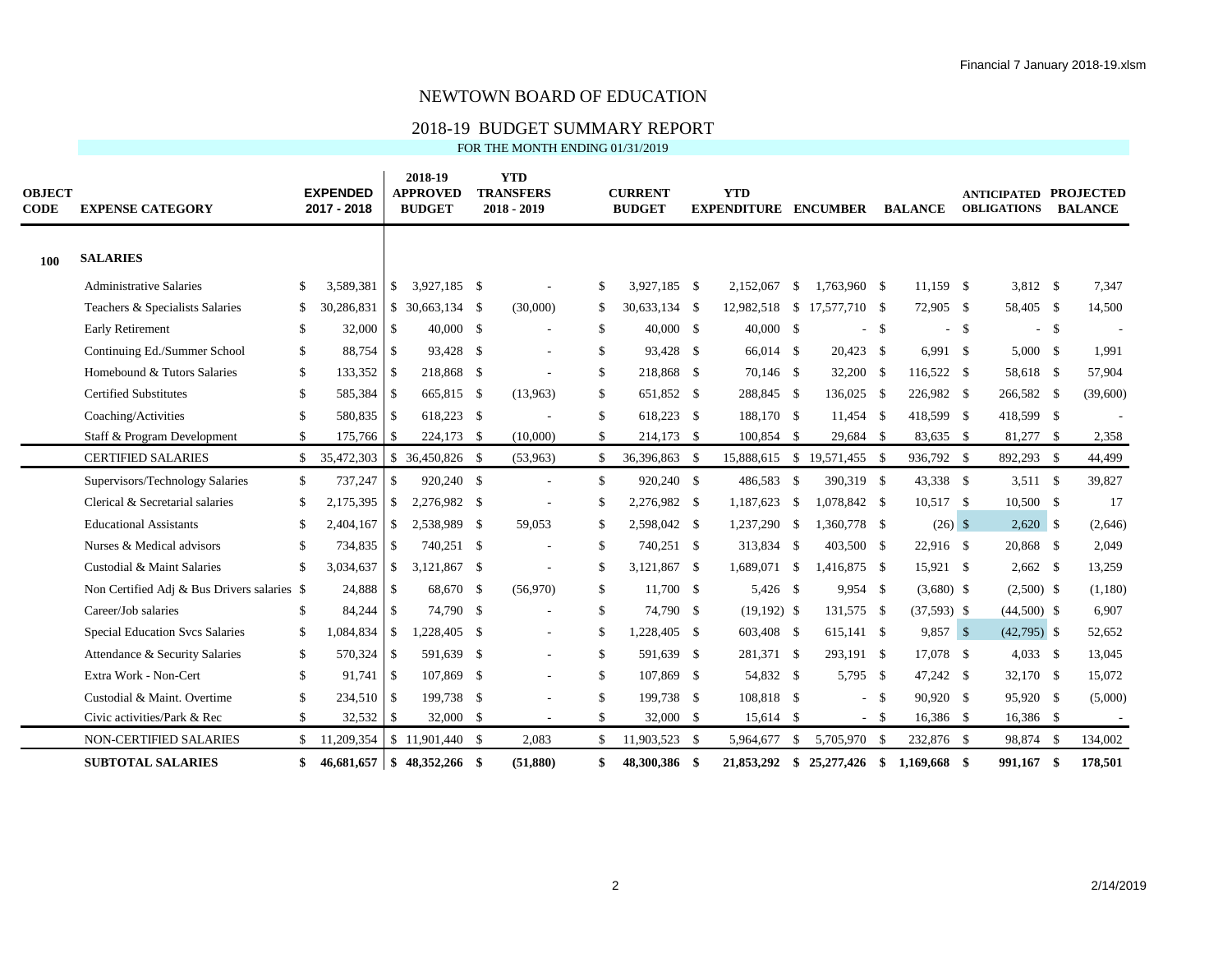## 2018-19 BUDGET SUMMARY REPORT

FOR THE MONTH ENDING 01/31/2019

| <b>OBJECT</b><br><b>CODE</b> | <b>EXPENSE CATEGORY</b>                     |              | <b>EXPENDED</b><br>2017 - 2018 |               | 2018-19<br><b>APPROVED</b><br><b>BUDGET</b> | <b>YTD</b><br><b>TRANSFERS</b><br>2018 - 2019 |              | <b>CURRENT</b><br><b>BUDGET</b> | <b>YTD</b><br><b>EXPENDITURE ENCUMBER</b> |                             |        | <b>BALANCE</b> |        | <b>ANTICIPATED PROJECTED</b><br><b>OBLIGATIONS</b> |      | <b>BALANCE</b> |
|------------------------------|---------------------------------------------|--------------|--------------------------------|---------------|---------------------------------------------|-----------------------------------------------|--------------|---------------------------------|-------------------------------------------|-----------------------------|--------|----------------|--------|----------------------------------------------------|------|----------------|
| 100                          | <b>SALARIES</b>                             |              |                                |               |                                             |                                               |              |                                 |                                           |                             |        |                |        |                                                    |      |                |
|                              | <b>Administrative Salaries</b>              | \$           | 3,589,381                      | $\mathbb{S}$  | 3.927.185 \$                                |                                               | S.           | 3,927,185 \$                    | 2.152.067 \$                              | 1.763.960 \$                |        | $11.159$ \$    |        | 3,812 \$                                           |      | 7,347          |
|                              | Teachers & Specialists Salaries             | \$.          | 30,286,831                     |               | $$30,663,134$ \$                            | (30,000)                                      | S.           | 30,633,134 \$                   | 12,982,518 \$ 17,577,710 \$               |                             |        | 72,905 \$      |        | 58,405 \$                                          |      | 14,500         |
|                              | <b>Early Retirement</b>                     | \$           | 32,000                         | $\mathbf{s}$  | 40,000 \$                                   |                                               | \$           | 40,000 \$                       | $40,000$ \$                               |                             | $-$ \$ |                | $-$ \$ |                                                    | $-5$ |                |
|                              | Continuing Ed./Summer School                | \$           | 88,754                         | $\mathbb{S}$  | 93,428 \$                                   | $\overline{a}$                                | \$           | 93,428 \$                       | 66,014 \$                                 | $20,423$ \$                 |        | $6,991$ \$     |        | $5,000$ \$                                         |      | 1,991          |
|                              | Homebound & Tutors Salaries                 | \$           | 133,352                        | <sup>\$</sup> | 218,868 \$                                  |                                               | \$           | 218,868 \$                      | 70,146 \$                                 | $32,200$ \$                 |        | 116,522 \$     |        | 58,618 \$                                          |      | 57,904         |
|                              | <b>Certified Substitutes</b>                | \$           | 585,384                        | <sup>\$</sup> | 665,815 \$                                  | (13,963)                                      | \$           | 651,852 \$                      | 288,845 \$                                | 136,025 \$                  |        | 226,982 \$     |        | 266,582 \$                                         |      | (39,600)       |
|                              | Coaching/Activities                         | \$           | 580,835                        | $\mathbf{s}$  | 618,223 \$                                  |                                               | \$           | 618,223 \$                      | 188,170 \$                                | 11,454 \$                   |        | 418,599 \$     |        | 418,599 \$                                         |      |                |
|                              | Staff & Program Development                 | \$           | 175,766                        | S.            | 224,173 \$                                  | (10,000)                                      | \$           | 214,173 \$                      | 100,854 \$                                | 29,684 \$                   |        | 83,635 \$      |        | 81,277 \$                                          |      | 2,358          |
|                              | <b>CERTIFIED SALARIES</b>                   | $\mathbb{S}$ | 35,472,303                     |               | \$ 36,450,826 \$                            | (53,963)                                      | \$.          | 36,396,863 \$                   |                                           | 15,888,615 \$ 19,571,455 \$ |        | 936,792 \$     |        | 892,293 \$                                         |      | 44,499         |
|                              | Supervisors/Technology Salaries             | \$           | 737,247                        | $\mathbb{S}$  | 920,240 \$                                  | $\overline{a}$                                | $\mathbb{S}$ | 920,240 \$                      | 486,583 \$                                | 390,319 \$                  |        | 43,338 \$      |        | $3,511$ \$                                         |      | 39,827         |
|                              | Clerical & Secretarial salaries             | \$           | 2,175,395                      | $\mathbb{S}$  | 2,276,982 \$                                |                                               | \$           | 2,276,982 \$                    | 1,187,623 \$                              | 1,078,842 \$                |        | 10,517 \$      |        | 10,500 \$                                          |      | 17             |
|                              | <b>Educational Assistants</b>               | \$           | 2,404,167                      | $\mathbb{S}$  | 2,538,989 \$                                | 59,053                                        | \$           | 2,598,042 \$                    | 1,237,290 \$                              | 1,360,778 \$                |        | $(26)$ \$      |        | $2,620$ \$                                         |      | (2,646)        |
|                              | Nurses & Medical advisors                   | \$           | 734,835                        | \$            | 740.251 \$                                  |                                               | \$           | 740,251 \$                      | 313,834 \$                                | 403,500 \$                  |        | 22,916 \$      |        | 20,868 \$                                          |      | 2,049          |
|                              | Custodial & Maint Salaries                  |              | 3,034,637                      | $\mathbb{S}$  | 3,121,867 \$                                |                                               | \$           | 3,121,867 \$                    | 1,689,071 \$                              | 1,416,875 \$                |        | 15,921 \$      |        | $2,662$ \$                                         |      | 13,259         |
|                              | Non Certified Adj & Bus Drivers salaries \$ |              | 24,888                         | <sup>\$</sup> | 68,670 \$                                   | (56,970)                                      | \$           | 11,700 \$                       | 5,426 \$                                  | 9,954 \$                    |        | $(3,680)$ \$   |        | $(2,500)$ \$                                       |      | (1,180)        |
|                              | Career/Job salaries                         | \$           | 84,244                         | $\mathbb{S}$  | 74,790 \$                                   |                                               | \$           | 74,790 \$                       | $(19,192)$ \$                             | 131,575 \$                  |        | $(37,593)$ \$  |        | $(44,500)$ \$                                      |      | 6,907          |
|                              | Special Education Svcs Salaries             | \$           | 1,084,834                      | \$            | 1,228,405 \$                                | L,                                            | \$           | 1,228,405 \$                    | 603,408 \$                                | 615,141 \$                  |        | 9,857 \$       |        | $(42,795)$ \$                                      |      | 52,652         |
|                              | Attendance & Security Salaries              | \$           | 570,324                        | <sup>\$</sup> | 591,639 \$                                  | $\overline{a}$                                | \$           | 591,639 \$                      | 281,371 \$                                | 293,191 \$                  |        | 17,078 \$      |        | $4,033$ \$                                         |      | 13,045         |
|                              | Extra Work - Non-Cert                       | \$           | 91,741                         | -S            | 107,869 \$                                  |                                               | \$           | 107,869 \$                      | 54,832 \$                                 | 5,795 \$                    |        | 47,242 \$      |        | 32,170 \$                                          |      | 15,072         |
|                              | Custodial & Maint. Overtime                 | \$           | 234,510                        | <sup>\$</sup> | 199,738 \$                                  |                                               | \$           | 199,738 \$                      | 108,818 \$                                |                             | $-5$   | 90,920 \$      |        | 95,920 \$                                          |      | (5,000)        |
|                              | Civic activities/Park & Rec                 | \$           | 32,532                         | \$            | $32,000$ \$                                 |                                               | \$           | 32,000 \$                       | 15,614 \$                                 |                             | $-5$   | 16,386 \$      |        | 16,386 \$                                          |      |                |
|                              | NON-CERTIFIED SALARIES                      | \$           | 11,209,354                     |               | $$11,901,440$ \;                            | 2,083                                         | \$           | 11,903,523 \$                   | 5,964,677                                 | \$<br>5,705,970 \$          |        | 232,876 \$     |        | 98,874 \$                                          |      | 134,002        |
|                              | <b>SUBTOTAL SALARIES</b>                    |              | 46,681,657                     |               | $$48.352.266$ \, \$                         | (51, 880)                                     | \$           | 48.300.386 \$                   | 21,853,292                                | $$25.277.426$ \$            |        | 1.169.668 \$   |        | 991.167                                            | -\$  | 178,501        |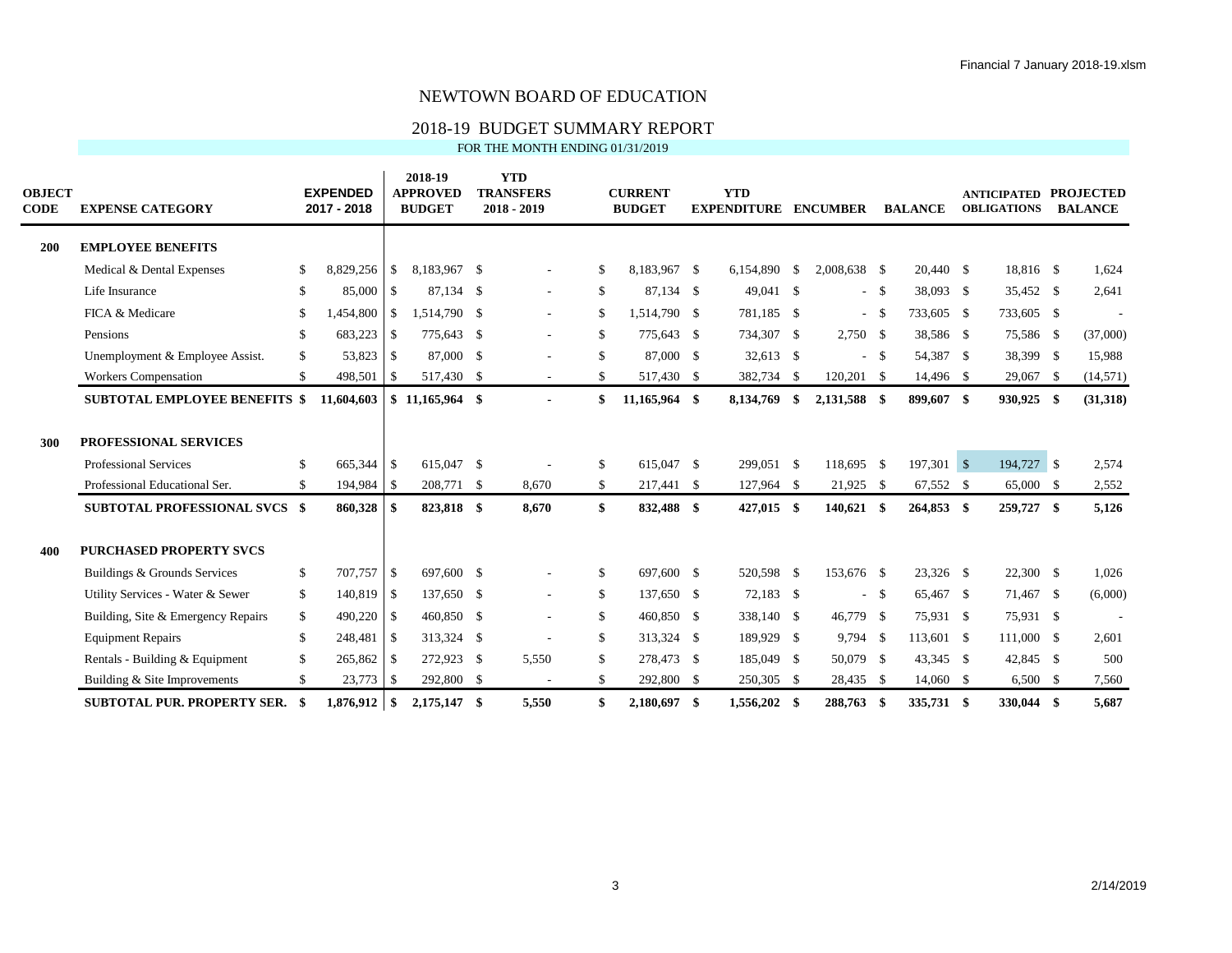# 2018-19 BUDGET SUMMARY REPORT<br>FOR THE MONTH ENDING 01/31/2019

|  |  |  |  | FOR THE MONTH ENDING 01/31/2019 |
|--|--|--|--|---------------------------------|
|--|--|--|--|---------------------------------|

| <b>OBJECT</b><br><b>CODE</b> | <b>EXPENSE CATEGORY</b>                                                                |                     | <b>EXPENDED</b><br>2017 - 2018 |               | 2018-19<br><b>APPROVED</b><br><b>BUDGET</b> | <b>YTD</b><br><b>TRANSFERS</b><br>$2018 - 2019$ |          | <b>CURRENT</b><br><b>BUDGET</b> |     | <b>YTD</b><br><b>EXPENDITURE ENCUMBER</b> |     |                         |       | <b>BALANCE</b>          | <b>ANTICIPATED</b><br><b>OBLIGATIONS</b> | <b>PROJECTED</b><br><b>BALANCE</b> |
|------------------------------|----------------------------------------------------------------------------------------|---------------------|--------------------------------|---------------|---------------------------------------------|-------------------------------------------------|----------|---------------------------------|-----|-------------------------------------------|-----|-------------------------|-------|-------------------------|------------------------------------------|------------------------------------|
| 200                          | <b>EMPLOYEE BENEFITS</b>                                                               |                     |                                |               |                                             |                                                 |          |                                 |     |                                           |     |                         |       |                         |                                          |                                    |
|                              | Medical & Dental Expenses                                                              | <sup>\$</sup>       | 8,829,256                      | <sup>\$</sup> | 8.183.967 \$                                |                                                 | \$       | 8.183.967 \$                    |     | 6.154.890 \$                              |     | 2,008,638 \$            |       | 20.440 \$               | 18,816 \$                                | 1,624                              |
|                              | Life Insurance                                                                         | \$                  | 85,000                         | $\vert$ s     | 87.134 \$                                   | ٠                                               | \$       | 87.134 \$                       |     | 49,041 \$                                 |     |                         | - \$  | 38,093 \$               | 35,452 \$                                | 2,641                              |
|                              | FICA & Medicare                                                                        | \$                  | 1.454.800                      | $\mathbb{S}$  | 1.514.790 \$                                | $\overline{\phantom{a}}$                        | S.       | 1.514.790 \$                    |     | 781.185 \$                                |     |                         | - \$  | 733,605 \$              | 733,605 \$                               |                                    |
|                              | Pensions                                                                               | \$                  | 683,223                        | <sup>\$</sup> | 775,643 \$                                  | $\overline{\phantom{a}}$                        | \$       | 775,643 \$                      |     | 734,307 \$                                |     | 2,750 \$                |       | 38,586 \$               | 75,586 \$                                | (37,000)                           |
|                              | Unemployment & Employee Assist.                                                        | \$                  | 53,823                         | S.            | 87,000 \$                                   |                                                 | \$       | 87,000 \$                       |     | 32,613 \$                                 |     |                         | - \$  | 54,387 \$               | 38,399 \$                                | 15,988                             |
|                              | Workers Compensation                                                                   | \$                  | 498,501                        | S.            | 517,430 \$                                  |                                                 | \$       | 517,430 \$                      |     | 382,734 \$                                |     | 120,201 \$              |       | 14,496 \$               | 29,067 \$                                | (14, 571)                          |
|                              | <b>SUBTOTAL EMPLOYEE BENEFITS \$</b>                                                   |                     | 11,604,603                     |               | $$11,165,964$ \$                            |                                                 | \$       | 11,165,964 \$                   |     | 8,134,769                                 | -\$ | 2,131,588 \$            |       | 899,607 \$              | 930,925 \$                               | (31,318)                           |
| 300                          | PROFESSIONAL SERVICES<br><b>Professional Services</b><br>Professional Educational Ser. | <sup>\$</sup><br>\$ | 665,344 \$<br>194,984          | -S            | 615.047 \$<br>208,771 \$                    | 8,670                                           | \$<br>\$ | 615,047 \$<br>217,441 \$        |     | 299,051 \$<br>127,964 \$                  |     | 118,695 \$<br>21,925 \$ |       | 197,301 \$<br>67,552 \$ | 194,727 \$<br>65,000 \$                  | 2,574<br>2,552                     |
|                              | SUBTOTAL PROFESSIONAL SVCS \$                                                          |                     | 860,328                        | \$            | 823,818 \$                                  | 8,670                                           | \$       | 832,488 \$                      |     | $427,015$ \$                              |     | $140,621$ \$            |       | 264,853 \$              | 259,727 \$                               | 5,126                              |
| 400                          | <b>PURCHASED PROPERTY SVCS</b>                                                         |                     |                                |               |                                             |                                                 |          |                                 |     |                                           |     |                         |       |                         |                                          |                                    |
|                              | Buildings & Grounds Services                                                           | \$                  | 707,757                        | $\vert$ \$    | 697,600 \$                                  |                                                 | \$       | 697,600 \$                      |     | 520,598 \$                                |     | 153,676 \$              |       | 23,326 \$               | $22,300$ \$                              | 1,026                              |
|                              | Utility Services - Water & Sewer                                                       | \$                  | 140,819                        | $\vert$ \$    | 137,650 \$                                  | $\overline{\phantom{a}}$                        | \$       | 137,650 \$                      |     | 72,183 \$                                 |     |                         | $- S$ | 65,467 \$               | 71,467 \$                                | (6,000)                            |
|                              | Building, Site & Emergency Repairs                                                     | \$                  | 490,220                        | \$            | 460,850 \$                                  |                                                 | \$       | 460,850 \$                      |     | 338,140 \$                                |     | 46,779 \$               |       | 75,931 \$               | 75,931 \$                                |                                    |
|                              | <b>Equipment Repairs</b>                                                               | \$                  | 248,481                        | -S            | 313,324 \$                                  |                                                 | \$       | 313,324 \$                      |     | 189,929 \$                                |     | $9,794$ \$              |       | 113,601 \$              | 111,000 \$                               | 2,601                              |
|                              | Rentals - Building & Equipment                                                         | $\mathbf{\$}$       | 265,862                        | -S            | 272,923 \$                                  | 5,550                                           | \$       | 278,473 \$                      |     | 185,049 \$                                |     | 50,079 \$               |       | 43,345 \$               | 42,845 \$                                | 500                                |
|                              | Building & Site Improvements                                                           | \$                  | 23,773                         | -S            | 292,800 \$                                  |                                                 | \$       | 292,800 \$                      |     | 250,305 \$                                |     | 28,435 \$               |       | 14,060 \$               | $6,500$ \$                               | 7,560                              |
|                              | <b>SUBTOTAL PUR. PROPERTY SER.</b>                                                     |                     | 1.876.912                      | - \$          | 2.175.147 \$                                | 5,550                                           | \$       | 2,180,697                       | -\$ | 1.556.202 \$                              |     | 288,763                 | -\$   | 335,731 \$              | 330,044 \$                               | 5.687                              |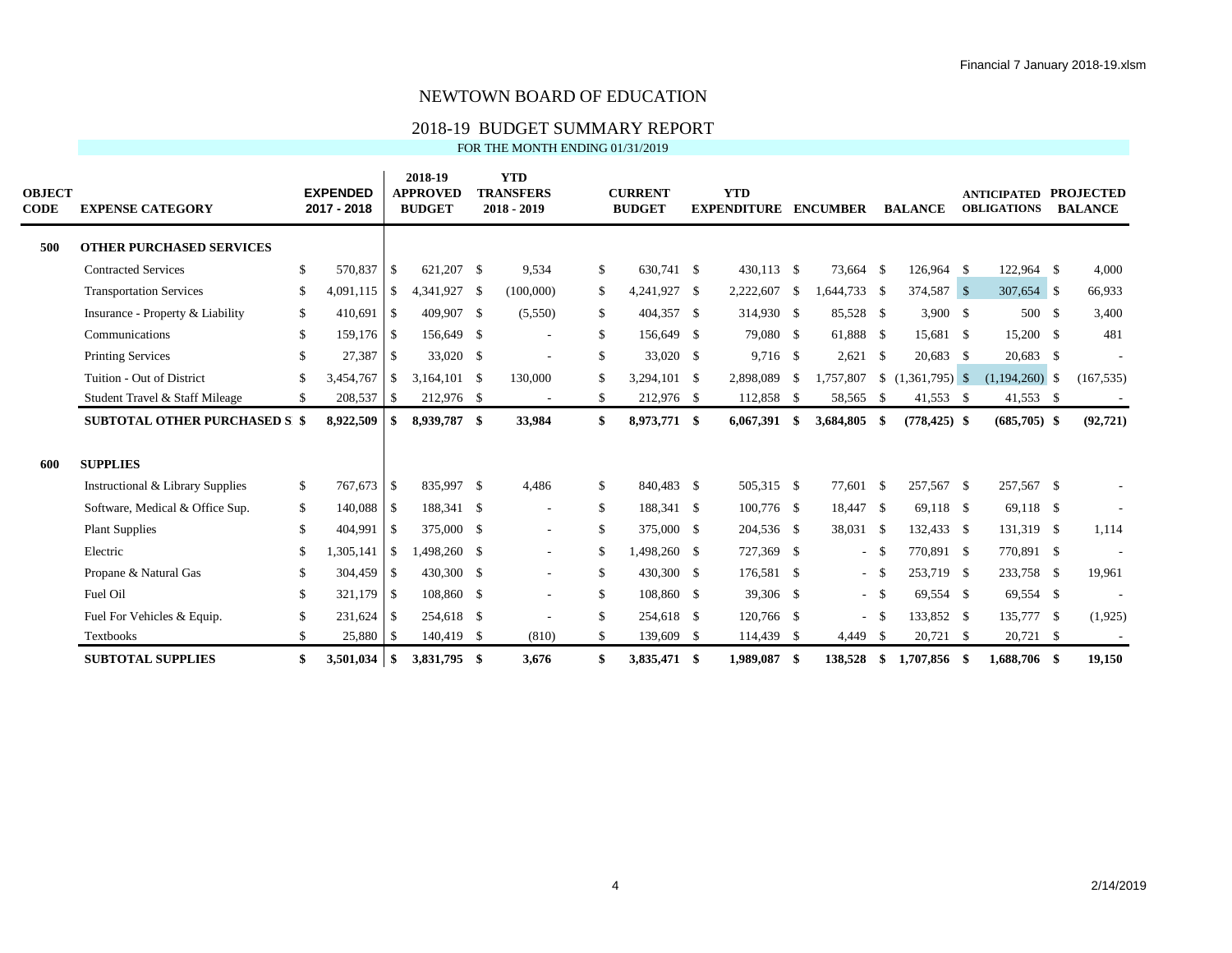# 2018-19 BUDGET SUMMARY REPORT

FOR THE MONTH ENDING 01/31/2019

| <b>OBJECT</b><br>CODE | <b>EXPENSE CATEGORY</b>                     |                    | <b>EXPENDED</b><br>2017 - 2018 |                          | 2018-19<br><b>APPROVED</b><br><b>BUDGET</b> | <b>YTD</b><br><b>TRANSFERS</b><br>$2018 - 2019$ |              | <b>CURRENT</b><br><b>BUDGET</b> |      | <b>YTD</b><br><b>EXPENDITURE</b> |      | <b>ENCUMBER</b> |        | <b>BALANCE</b>              | <b>ANTICIPATED</b><br><b>OBLIGATIONS</b> | <b>PROJECTED</b><br><b>BALANCE</b> |
|-----------------------|---------------------------------------------|--------------------|--------------------------------|--------------------------|---------------------------------------------|-------------------------------------------------|--------------|---------------------------------|------|----------------------------------|------|-----------------|--------|-----------------------------|------------------------------------------|------------------------------------|
| 500                   | <b>OTHER PURCHASED SERVICES</b>             |                    |                                |                          |                                             |                                                 |              |                                 |      |                                  |      |                 |        |                             |                                          |                                    |
|                       | <b>Contracted Services</b>                  | $\mathbf{\hat{S}}$ | 570,837                        | S                        | 621,207 \$                                  | 9,534                                           | $\mathbb{S}$ | 630,741 \$                      |      | 430,113 \$                       |      | 73,664 \$       |        | 126,964 \$                  | 122,964 \$                               | 4,000                              |
|                       | <b>Transportation Services</b>              | \$                 | 4,091,115                      | <b>S</b>                 | 4,341,927 \$                                | (100,000)                                       |              | \$<br>4,241,927 \$              |      | 2,222,607                        | - \$ | 1,644,733 \$    |        | 374,587 \$                  | 307,654 \$                               | 66,933                             |
|                       | Insurance - Property & Liability            | \$                 | 410,691                        | S                        | 409,907 \$                                  | (5,550)                                         |              | \$<br>404,357 \$                |      | 314,930 \$                       |      | 85,528 \$       |        | $3,900$ \$                  | 500 \$                                   | 3,400                              |
|                       | Communications                              | \$                 | 159,176 \$                     |                          | 156,649 \$                                  |                                                 |              | \$<br>156,649 \$                |      | 79,080 \$                        |      | 61,888 \$       |        | 15,681 \$                   | 15,200 \$                                | 481                                |
|                       | <b>Printing Services</b>                    | \$                 | 27,387                         | l \$                     | 33,020 \$                                   |                                                 | \$           | 33,020 \$                       |      | 9,716 \$                         |      | $2,621$ \$      |        | 20,683 \$                   | 20,683 \$                                |                                    |
|                       | Tuition - Out of District                   | \$                 | 3,454,767                      | <sup>S</sup>             | $3.164.101$ \$                              | 130,000                                         |              | \$<br>3.294.101 \$              |      | 2,898,089                        | - \$ |                 |        | 1,757,807 \$ (1,361,795) \$ | $(1,194,260)$ \$                         | (167, 535)                         |
|                       | Student Travel & Staff Mileage              | \$                 | 208,537                        | S                        | 212,976 \$                                  | $\sim$                                          | \$           | 212,976 \$                      |      | 112,858 \$                       |      | 58,565 \$       |        | $41,553$ \$                 | 41,553 \$                                |                                    |
|                       | <b>SUBTOTAL OTHER PURCHASED S \$</b>        |                    | 8,922,509                      | - \$                     | 8,939,787 \$                                | 33,984                                          |              | \$<br>8,973,771 \$              |      | $6,067,391$ \$                   |      | 3,684,805 \$    |        | $(778, 425)$ \$             | $(685,705)$ \$                           | (92, 721)                          |
| 600                   | <b>SUPPLIES</b>                             |                    |                                |                          |                                             |                                                 |              |                                 |      |                                  |      |                 |        |                             |                                          |                                    |
|                       | <b>Instructional &amp; Library Supplies</b> | S.                 | $767.673$ \$                   |                          | 835.997 \$                                  | 4,486                                           | S.           | 840,483 \$                      |      | 505,315 \$                       |      | 77,601 \$       |        | 257,567 \$                  | 257,567 \$                               |                                    |
|                       | Software, Medical & Office Sup.             | \$                 | 140,088 \$                     |                          | 188,341 \$                                  | $\overline{a}$                                  | \$           | 188,341 \$                      |      | 100,776 \$                       |      | 18,447 \$       |        | 69,118 \$                   | 69,118 \$                                |                                    |
|                       | <b>Plant Supplies</b>                       | \$                 | 404,991                        | l \$                     | 375,000 \$                                  | $\sim$                                          |              | \$<br>375,000 \$                |      | 204,536 \$                       |      | 38,031 \$       |        | 132,433 \$                  | 131,319 \$                               | 1,114                              |
|                       | Electric                                    | \$                 | 1,305,141                      | \$                       | 1,498,260 \$                                | $\sim$                                          | \$           | 1,498,260 \$                    |      | 727,369 \$                       |      |                 | $-5$   | 770,891 \$                  | 770,891 \$                               |                                    |
|                       | Propane & Natural Gas                       | \$                 | 304,459                        | $\overline{1}$           | 430,300 \$                                  | $\sim$                                          |              | \$<br>430,300 \$                |      | 176,581 \$                       |      |                 | $-5$   | 253,719 \$                  | 233,758 \$                               | 19,961                             |
|                       | Fuel Oil                                    | <sup>\$</sup>      | 321,179 \$                     |                          | 108,860 \$                                  | ä,                                              | \$           | 108,860 \$                      |      | 39,306 \$                        |      |                 | $-$ \$ | 69,554 \$                   | 69,554 \$                                |                                    |
|                       | Fuel For Vehicles & Equip.                  | <sup>\$</sup>      | 231,624                        | $\overline{\phantom{a}}$ | 254,618 \$                                  |                                                 | \$           | 254,618 \$                      |      | 120,766 \$                       |      |                 | $-5$   | 133,852 \$                  | 135,777 \$                               | (1,925)                            |
|                       | Textbooks                                   | \$                 | 25,880                         | $\mathsf{S}$             | 140,419 \$                                  | (810)                                           |              | \$<br>139,609                   | - \$ | 114,439 \$                       |      | 4,449 \$        |        | 20,721 \$                   | 20,721 \$                                |                                    |
|                       | <b>SUBTOTAL SUPPLIES</b>                    | \$                 | 3.501.034                      | $\overline{\phantom{a}}$ | 3.831.795 \$                                | 3,676                                           | \$           | 3,835,471                       | - \$ | 1.989.087 \$                     |      | 138,528         | - \$   | 1.707,856 \$                | 1.688.706 \$                             | 19.150                             |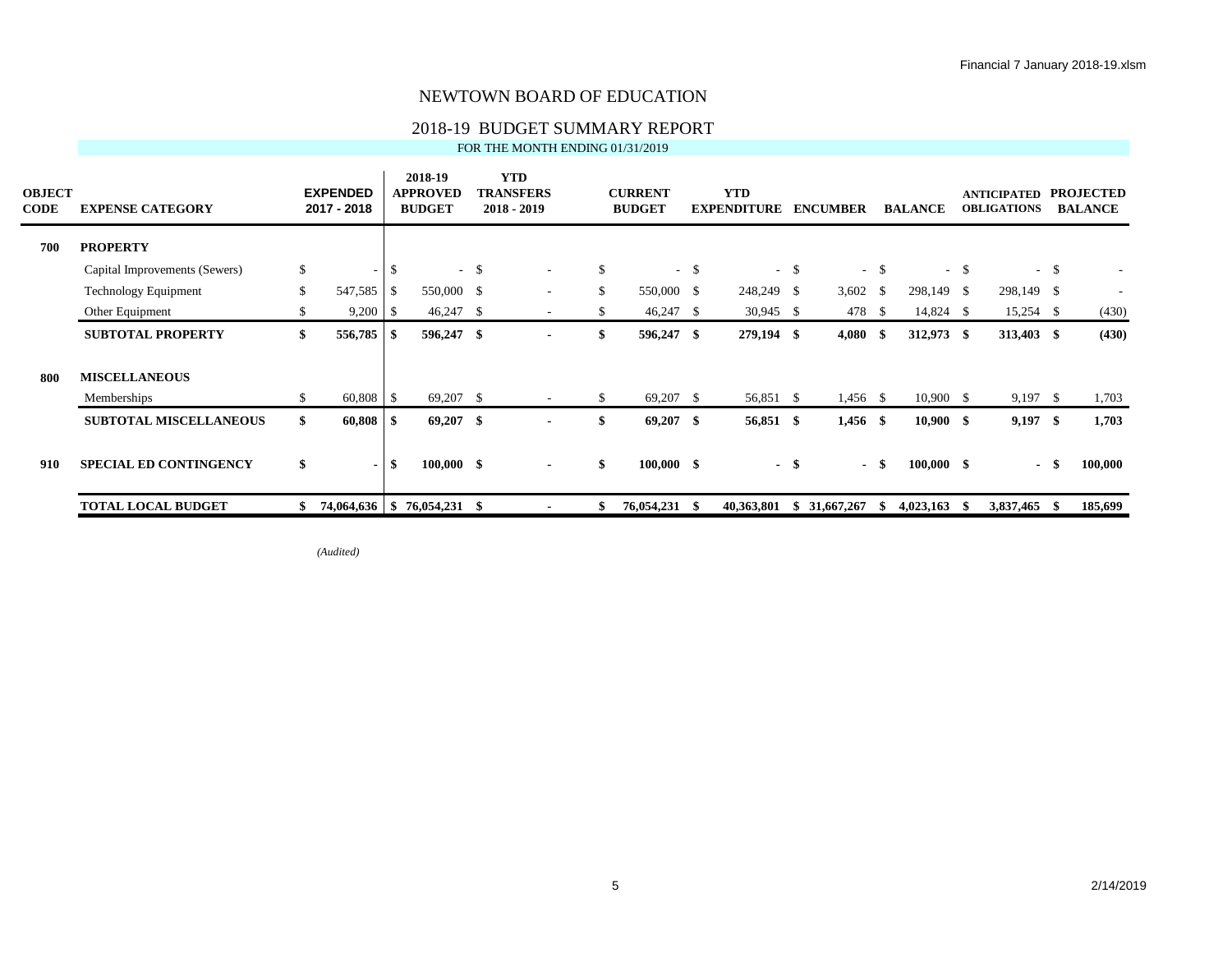# 2018-19 BUDGET SUMMARY REPORT

FOR THE MONTH ENDING 01/31/2019

| <b>OBJECT</b><br><b>CODE</b> | <b>EXPENSE CATEGORY</b>       |    | <b>EXPENDED</b><br>2017 - 2018 |      | 2018-19<br><b>APPROVED</b><br><b>BUDGET</b> |      | <b>YTD</b><br><b>TRANSFERS</b><br>2018 - 2019 |          | <b>CURRENT</b><br><b>BUDGET</b> |     | <b>YTD</b><br><b>EXPENDITURE</b> |       | <b>ENCUMBER</b>     |        | <b>BALANCE</b> |      | <b>ANTICIPATED</b><br><b>OBLIGATIONS</b> |        | <b>PROJECTED</b><br><b>BALANCE</b> |
|------------------------------|-------------------------------|----|--------------------------------|------|---------------------------------------------|------|-----------------------------------------------|----------|---------------------------------|-----|----------------------------------|-------|---------------------|--------|----------------|------|------------------------------------------|--------|------------------------------------|
| 700                          | <b>PROPERTY</b>               |    |                                |      |                                             |      |                                               |          |                                 |     |                                  |       |                     |        |                |      |                                          |        |                                    |
|                              | Capital Improvements (Sewers) | \$ |                                | \$   |                                             | $-5$ | $\overline{\phantom{a}}$                      | \$       | $\sim$                          | -\$ |                                  | $- S$ |                     | $-$ \$ |                | $-5$ |                                          | $-$ \$ |                                    |
|                              | <b>Technology Equipment</b>   | \$ | 547,585                        | \$   | 550,000 \$                                  |      | ٠                                             | \$       | 550,000 \$                      |     | 248,249 \$                       |       | 3,602 $\frac{1}{2}$ |        | 298,149 \$     |      | 298,149 \$                               |        |                                    |
|                              | Other Equipment               | S  | 9,200                          | - \$ | $46,247$ \$                                 |      |                                               | <b>S</b> | 46,247 \$                       |     | $30,945$ \$                      |       | 478                 | - S    | 14,824 \$      |      | $15,254$ \$                              |        | (430)                              |
|                              | <b>SUBTOTAL PROPERTY</b>      | \$ | 556,785                        | - \$ | 596,247 \$                                  |      |                                               | \$       | 596,247 \$                      |     | 279,194 \$                       |       | $4,080$ \$          |        | 312,973 \$     |      | 313,403 \$                               |        | (430)                              |
| 800                          | <b>MISCELLANEOUS</b>          |    |                                |      |                                             |      |                                               |          |                                 |     |                                  |       |                     |        |                |      |                                          |        |                                    |
|                              | Memberships                   | \$ | $60,808$ \ \ \$                |      | $69,207$ \$                                 |      | $\overline{\phantom{a}}$                      | \$       | 69,207 \$                       |     | 56,851 \$                        |       | 1,456 \$            |        | 10,900 S       |      | $9,197$ \$                               |        | 1,703                              |
|                              | <b>SUBTOTAL MISCELLANEOUS</b> | \$ | 60,808                         | - \$ | $69,207$ \$                                 |      |                                               | \$       | $69,207$ \$                     |     | 56,851 \$                        |       | $1,456$ \$          |        | $10,900$ \$    |      | $9,197$ \$                               |        | 1,703                              |
| 910                          | <b>SPECIAL ED CONTINGENCY</b> | \$ |                                | \$   | $100,000$ \$                                |      | $\blacksquare$                                | \$       | $100,000$ \$                    |     |                                  | - \$  |                     | - \$   | $100,000$ \$   |      | $\blacksquare$                           |        | 100,000                            |
|                              | <b>TOTAL LOCAL BUDGET</b>     |    | 74,064,636                     |      | $$76,054,231$ \\$                           |      |                                               |          | 76,054,231 \$                   |     | 40,363,801                       |       | \$31,667,267        | S      | 4,023,163      | - S  | 3,837,465                                | - 55   | 185,699                            |

*(Audited)*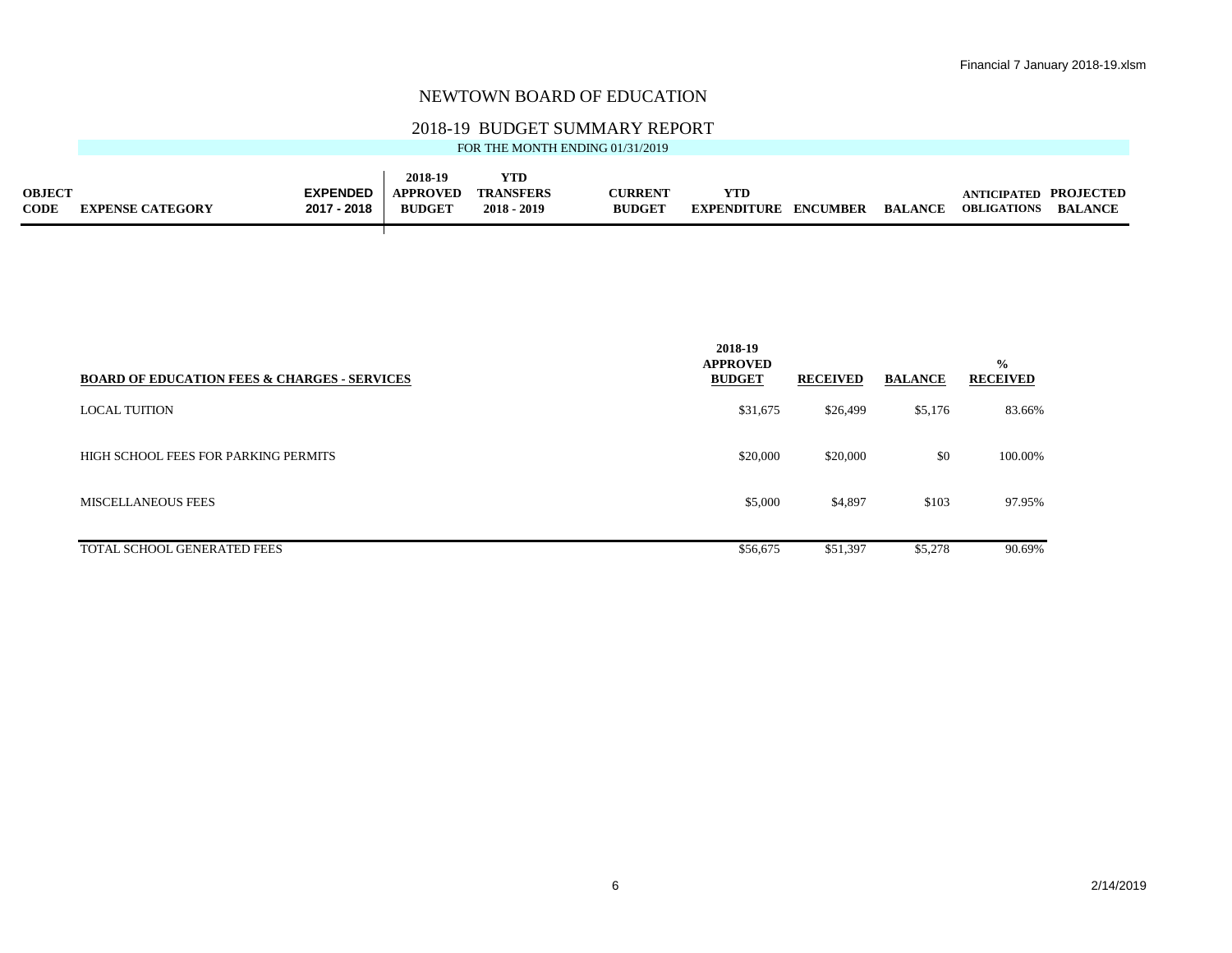# 2018-19 BUDGET SUMMARY REPORT<br>FOR THE MONTH ENDING 01/31/2019

|               |                         |                 | 2018-19         | <b>YTD</b>       |                |                             |                |                              |                |
|---------------|-------------------------|-----------------|-----------------|------------------|----------------|-----------------------------|----------------|------------------------------|----------------|
| <b>OBJECT</b> |                         | <b>EXPENDED</b> | <b>APPROVED</b> | <b>TRANSFERS</b> | <b>CURRENT</b> | YTD                         |                | <b>ANTICIPATED PROJECTED</b> |                |
| <b>CODE</b>   | <b>EXPENSE CATEGORY</b> | 2017 - 2018     | <b>BUDGET</b>   | $2018 - 2019$    | <b>BUDGET</b>  | <b>EXPENDITURE ENCUMBER</b> | <b>BALANCE</b> | <b>OBLIGATIONS</b>           | <b>BALANCE</b> |

┱

|                                                         | 2018-19<br><b>APPROVED</b> |                 |                | $\frac{0}{0}$   |
|---------------------------------------------------------|----------------------------|-----------------|----------------|-----------------|
| <b>BOARD OF EDUCATION FEES &amp; CHARGES - SERVICES</b> | <b>BUDGET</b>              | <b>RECEIVED</b> | <b>BALANCE</b> | <b>RECEIVED</b> |
| <b>LOCAL TUITION</b>                                    | \$31,675                   | \$26,499        | \$5,176        | 83.66%          |
| HIGH SCHOOL FEES FOR PARKING PERMITS                    | \$20,000                   | \$20,000        | \$0            | 100.00%         |
| <b>MISCELLANEOUS FEES</b>                               | \$5,000                    | \$4,897         | \$103          | 97.95%          |
| TOTAL SCHOOL GENERATED FEES                             | \$56,675                   | \$51,397        | \$5,278        | 90.69%          |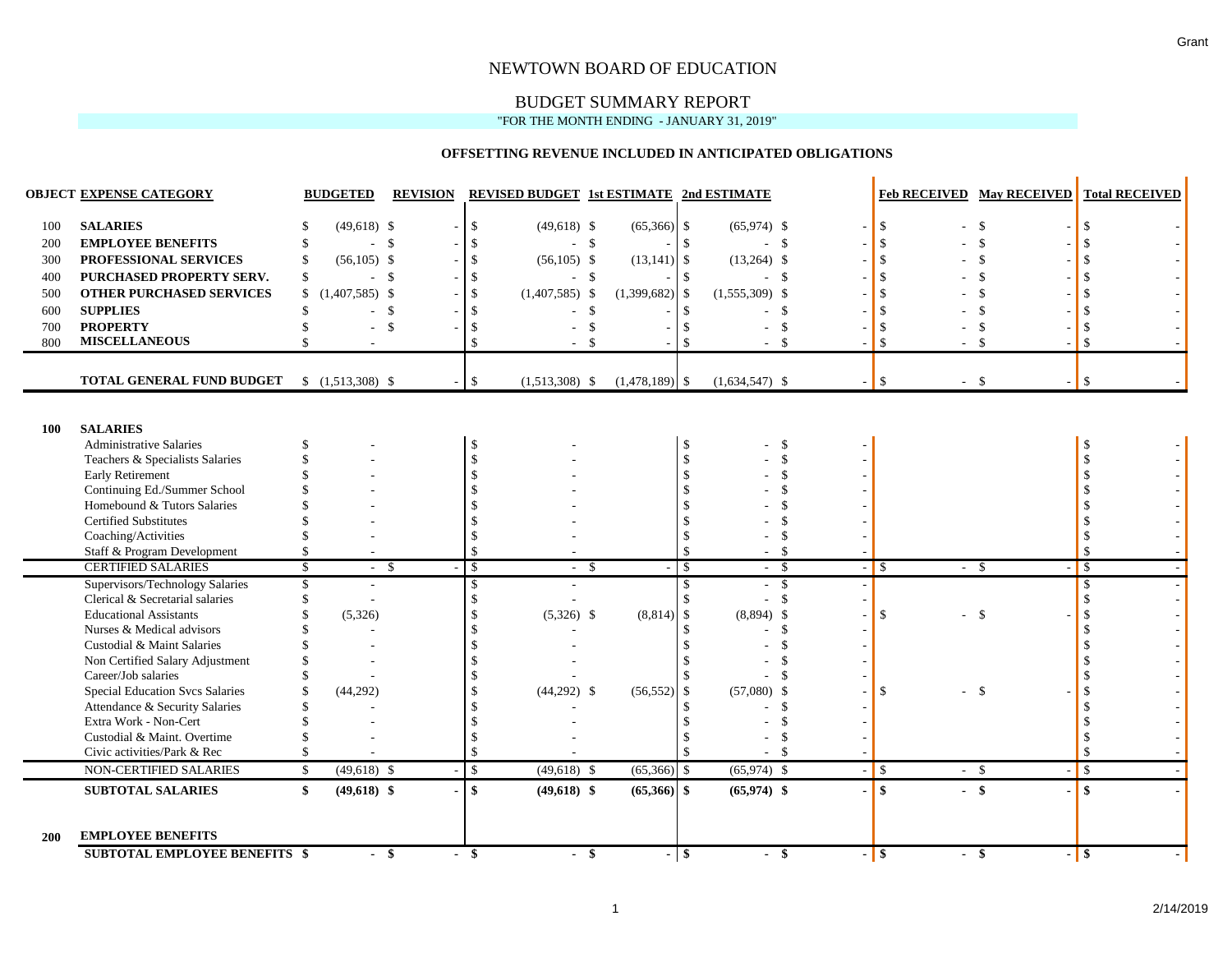### BUDGET SUMMARY REPORT

### "FOR THE MONTH ENDING - JANUARY 31, 2019"

### **OFFSETTING REVENUE INCLUDED IN ANTICIPATED OBLIGATIONS**

|            | <b>OBJECT EXPENSE CATEGORY</b>                                   | <b>BUDGETED</b>                | <b>REVISION</b>    | <b>REVISED BUDGET 1st ESTIMATE 2nd ESTIMATE</b> |                    |                                    |                                |                  | <b>Feb RECEIVED May RECEIVED</b> | <b>Total RECEIVED</b> |
|------------|------------------------------------------------------------------|--------------------------------|--------------------|-------------------------------------------------|--------------------|------------------------------------|--------------------------------|------------------|----------------------------------|-----------------------|
| 100        | <b>SALARIES</b>                                                  | $(49,618)$ \$                  |                    | \$<br>$(49,618)$ \$                             | $(65,366)$ \$      | $(65,974)$ \$                      |                                | $\mathbb{S}$     | $\mathcal{S}$                    |                       |
| 200        | <b>EMPLOYEE BENEFITS</b>                                         | - \$                           |                    | -\$<br>$-$ \$                                   |                    | <sup>\$</sup>                      | $-5$                           | \$               | \$                               |                       |
| 300        | PROFESSIONAL SERVICES                                            | $(56,105)$ \$                  |                    | $\mathcal{S}$<br>$(56,105)$ \$                  | $(13, 141)$ \$     | $(13,264)$ \$                      |                                |                  | <sup>\$</sup>                    |                       |
| 400        | PURCHASED PROPERTY SERV.                                         | - \$<br>\$                     |                    | <sup>\$</sup><br>$-$ \$                         |                    | $\mathbb{S}$                       | - \$                           |                  |                                  |                       |
| 500        | <b>OTHER PURCHASED SERVICES</b>                                  | $(1,407,585)$ \$<br>\$         |                    | $\mathbb{S}$<br>$(1,407,585)$ \$                | $(1,399,682)$ \$   | $(1,555,309)$ \$                   |                                |                  |                                  |                       |
| 600        | <b>SUPPLIES</b>                                                  | ÷                              | $\mathbf{\hat{S}}$ | \$<br>$\sim$                                    | $\mathbf{\$}$      | -\$                                | - \$                           |                  | <sup>\$</sup>                    |                       |
| 700        | <b>PROPERTY</b>                                                  | $\sim$                         | $\mathbf{\hat{S}}$ | \$                                              | $\mathbf{\hat{s}}$ | \$.                                | $\mathcal{S}$                  |                  | $\mathcal{S}$                    |                       |
| 800        | <b>MISCELLANEOUS</b>                                             | $\sim$                         |                    | $\mathcal{S}$                                   | $\mathcal{S}$      | $\mathcal{S}$                      | -\$                            | $\mathcal{S}$    | $\mathcal{S}$                    | $\mathcal{S}$         |
|            |                                                                  |                                |                    |                                                 |                    |                                    |                                |                  |                                  |                       |
|            | TOTAL GENERAL FUND BUDGET                                        | $$(1,513,308)$ \\$             |                    | $\mathcal{S}$<br>$(1,513,308)$ \$               | $(1,478,189)$ \$   | $(1,634,547)$ \$                   |                                | $-$ \$           | -\$                              | \$                    |
|            |                                                                  |                                |                    |                                                 |                    |                                    |                                |                  |                                  |                       |
| 100        | <b>SALARIES</b>                                                  |                                |                    |                                                 |                    |                                    |                                |                  |                                  |                       |
|            | <b>Administrative Salaries</b>                                   |                                |                    | -\$                                             |                    | <sup>\$</sup>                      | -\$                            |                  |                                  |                       |
|            | Teachers & Specialists Salaries                                  |                                |                    | $\mathcal{S}$                                   |                    |                                    | $\mathcal{S}$                  |                  |                                  |                       |
|            | <b>Early Retirement</b>                                          |                                |                    |                                                 |                    |                                    |                                |                  |                                  |                       |
|            | Continuing Ed./Summer School                                     |                                |                    |                                                 |                    |                                    |                                |                  |                                  |                       |
|            | Homebound & Tutors Salaries                                      |                                |                    |                                                 |                    |                                    |                                |                  |                                  |                       |
|            | <b>Certified Substitutes</b>                                     |                                |                    |                                                 |                    |                                    |                                |                  |                                  |                       |
|            | Coaching/Activities                                              |                                |                    | $\mathcal{S}$                                   |                    |                                    |                                |                  |                                  |                       |
|            | Staff & Program Development                                      |                                |                    | $\mathcal{S}$                                   |                    |                                    | $\mathcal{S}$                  |                  |                                  | $\mathcal{S}$         |
|            | <b>CERTIFIED SALARIES</b>                                        | S,<br>- \$                     |                    | $\overline{\mathcal{S}}$<br>- \$                |                    | $\mathcal{S}$                      | $-$ \$                         | $-1$ \$          | $-$ \$                           | $\sqrt{s}$            |
|            | Supervisors/Technology Salaries                                  | $\sim$                         |                    | $\mathcal{S}$<br>$\overline{\phantom{a}}$       |                    | $\mathbf{\$}$<br>$\sim$            | <b>S</b>                       |                  |                                  | $\mathcal{S}$         |
|            | Clerical & Secretarial salaries                                  |                                |                    | $\mathbf{\hat{s}}$                              |                    | $\mathcal{S}$                      | $\mathcal{S}$                  |                  |                                  | <sup>\$</sup>         |
|            | <b>Educational Assistants</b>                                    | (5,326)                        |                    | $(5,326)$ \$                                    | (8, 814)           | $(8,894)$ \$<br>$\mathbf{\hat{S}}$ |                                | \$<br>$\sim$     | $\mathbb{S}$                     |                       |
|            | Nurses & Medical advisors                                        |                                |                    |                                                 |                    |                                    | $\mathcal{S}$                  |                  |                                  |                       |
|            | Custodial & Maint Salaries                                       |                                |                    |                                                 |                    |                                    |                                |                  |                                  |                       |
|            | Non Certified Salary Adjustment                                  |                                |                    |                                                 |                    |                                    | \$.                            |                  |                                  |                       |
|            | Career/Job salaries                                              |                                |                    |                                                 |                    |                                    | $\mathcal{L}$                  |                  |                                  |                       |
|            | <b>Special Education Svcs Salaries</b>                           | (44, 292)                      |                    | $(44,292)$ \$                                   | (56, 552)          | $(57,080)$ \$<br>-\$               |                                | $\mathbb{S}$     | $\mathcal{S}$                    |                       |
|            | Attendance & Security Salaries<br>Extra Work - Non-Cert          |                                |                    |                                                 |                    |                                    | $\mathcal{S}$<br><sup>\$</sup> |                  |                                  |                       |
|            | Custodial & Maint. Overtime                                      |                                |                    | $\mathcal{S}$                                   |                    |                                    | $\mathcal{S}$                  |                  |                                  |                       |
|            | Civic activities/Park & Rec                                      |                                |                    | $\mathbf{\hat{S}}$                              |                    |                                    | - \$                           |                  |                                  | <sup>\$</sup>         |
|            |                                                                  |                                |                    |                                                 |                    |                                    |                                |                  |                                  |                       |
|            | <b>NON-CERTIFIED SALARIES</b>                                    | $(49,618)$ \$<br>$\mathcal{S}$ |                    | $\mathcal{S}$<br>$(49,618)$ \$                  | $(65,366)$ \$      | $(65,974)$ \$                      |                                | $-$ \$           | $-$ \$                           | $\mathfrak{S}$        |
|            | <b>SUBTOTAL SALARIES</b>                                         | $(49,618)$ \$<br>\$            |                    | \$<br>$(49,618)$ \$                             | $(65,366)$ \$      | $(65,974)$ \$                      |                                | \$               | $-$ \$                           | $\mathbf{\$}$         |
| <b>200</b> | <b>EMPLOYEE BENEFITS</b><br><b>SUBTOTAL EMPLOYEE BENEFITS \$</b> | $-$ \$                         |                    | $-$ \$<br>$\blacksquare$                        | -\$                | - \$                               | -\$                            | $-$ \$<br>$\sim$ | \$                               | $-$ \$                |
|            |                                                                  |                                |                    |                                                 |                    |                                    |                                |                  |                                  |                       |

Grant

 $\mathbf{r}$